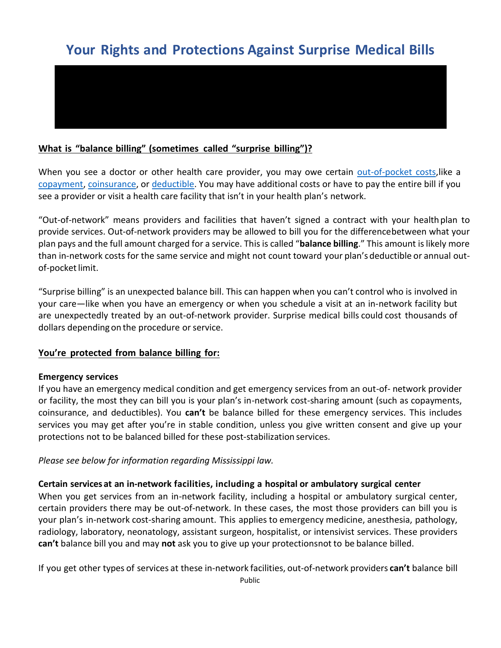# **Your Rights and Protections Against Surprise Medical Bills**

### **What is "balance billing" (sometimes called "surprise billing")?**

When you see a doctor or other health care provider, you may owe certain [out-of-pocket costs,](https://www.healthcare.gov/glossary/out-of-pocket-costs/)like a [copayment,](https://www.healthcare.gov/glossary/co-payment/) [coinsurance,](https://www.healthcare.gov/glossary/co-insurance/) or [deductible.](https://www.healthcare.gov/glossary/deductible/) You may have additional costs or have to pay the entire bill if you see a provider or visit a health care facility that isn't in your health plan's network.

"Out-of-network" means providers and facilities that haven't signed a contract with your healthplan to provide services. Out-of-network providers may be allowed to bill you for the differencebetween what your plan pays and the full amount charged for a service. This is called "**balance billing**." This amount is likely more than in-network costs for the same service and might not count toward your plan's deductible or annual outof-pocket limit.

"Surprise billing" is an unexpected balance bill. This can happen when you can't control who is involved in your care—like when you have an emergency or when you schedule a visit at an in-network facility but are unexpectedly treated by an out-of-network provider. Surprise medical bills could cost thousands of dollars depending on the procedure or service.

#### **You're protected from balance billing for:**

#### **Emergency services**

If you have an emergency medical condition and get emergency services from an out-of- network provider or facility, the most they can bill you is your plan's in-network cost-sharing amount (such as copayments, coinsurance, and deductibles). You **can't** be balance billed for these emergency services. This includes services you may get after you're in stable condition, unless you give written consent and give up your protections not to be balanced billed for these post-stabilization services.

#### *Please see below for information regarding Mississippi law.*

#### **Certain services at an in-network facilities, including a hospital or ambulatory surgical center**

When you get services from an in-network facility, including a hospital or ambulatory surgical center, certain providers there may be out-of-network. In these cases, the most those providers can bill you is your plan's in-network cost-sharing amount. This applies to emergency medicine, anesthesia, pathology, radiology, laboratory, neonatology, assistant surgeon, hospitalist, or intensivist services. These providers **can't** balance bill you and may **not** ask you to give up your protectionsnot to be balance billed.

Public If you get other types of services at these in-network facilities, out-of-network providers **can't** balance bill